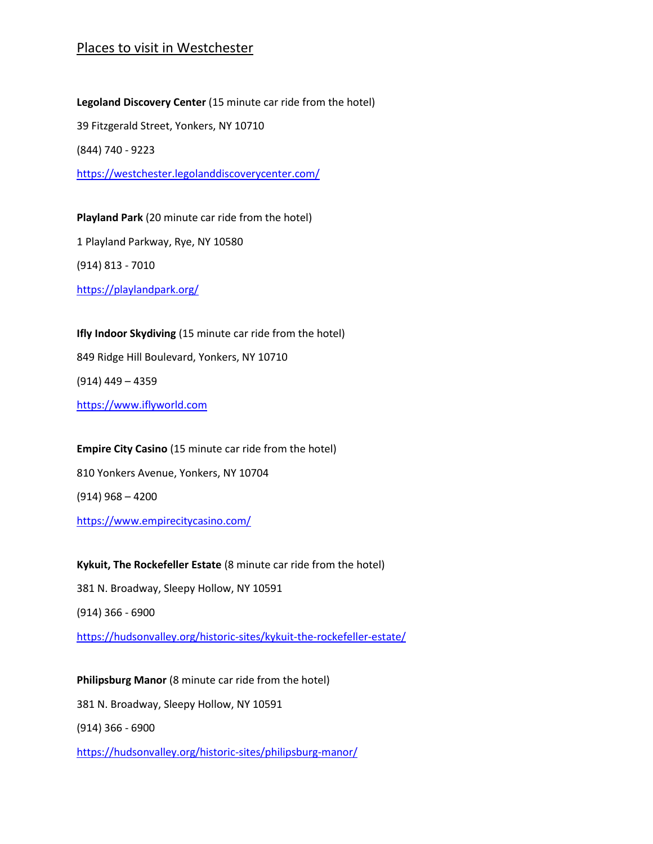## Places to visit in Westchester

**Legoland Discovery Center** (15 minute car ride from the hotel) 39 Fitzgerald Street, Yonkers, NY 10710 (844) 740 - 9223 <https://westchester.legolanddiscoverycenter.com/>

**Playland Park** (20 minute car ride from the hotel) 1 Playland Parkway, Rye, NY 10580 (914) 813 - 7010 <https://playlandpark.org/>

**Ifly Indoor Skydiving** (15 minute car ride from the hotel) 849 Ridge Hill Boulevard, Yonkers, NY 10710 (914) 449 – 4359 [https://www.iflyworld.com](https://www.iflyworld.com/)

**Empire City Casino** (15 minute car ride from the hotel) 810 Yonkers Avenue, Yonkers, NY 10704 (914) 968 – 4200 <https://www.empirecitycasino.com/>

**Kykuit, The Rockefeller Estate** (8 minute car ride from the hotel) 381 N. Broadway, Sleepy Hollow, NY 10591 (914) 366 - 6900 <https://hudsonvalley.org/historic-sites/kykuit-the-rockefeller-estate/>

**Philipsburg Manor** (8 minute car ride from the hotel) 381 N. Broadway, Sleepy Hollow, NY 10591 (914) 366 - 6900 <https://hudsonvalley.org/historic-sites/philipsburg-manor/>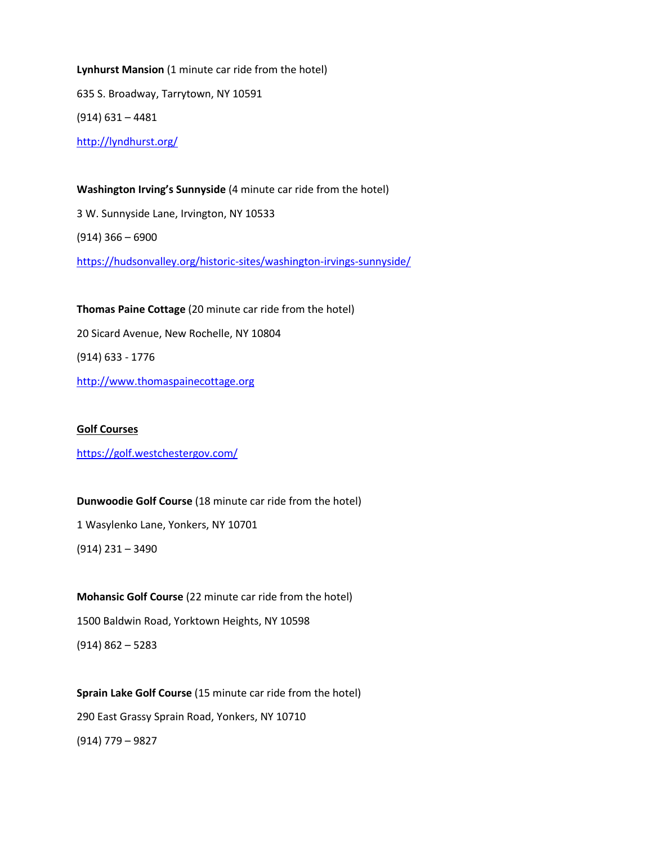**Lynhurst Mansion** (1 minute car ride from the hotel) 635 S. Broadway, Tarrytown, NY 10591 (914) 631 – 4481 <http://lyndhurst.org/>

**Washington Irving's Sunnyside** (4 minute car ride from the hotel) 3 W. Sunnyside Lane, Irvington, NY 10533 (914) 366 – 6900 <https://hudsonvalley.org/historic-sites/washington-irvings-sunnyside/>

**Thomas Paine Cottage** (20 minute car ride from the hotel) 20 Sicard Avenue, New Rochelle, NY 10804 (914) 633 - 1776 [http://www.thomaspainecottage.org](http://www.thomaspainecottage.org/)

<https://golf.westchestergov.com/> **Dunwoodie Golf Course** (18 minute car ride from the hotel) 1 Wasylenko Lane, Yonkers, NY 10701

(914) 231 – 3490

**Golf Courses**

**Mohansic Golf Course** (22 minute car ride from the hotel) 1500 Baldwin Road, Yorktown Heights, NY 10598 (914) 862 – 5283

**Sprain Lake Golf Course** (15 minute car ride from the hotel) 290 East Grassy Sprain Road, Yonkers, NY 10710 (914) 779 – 9827